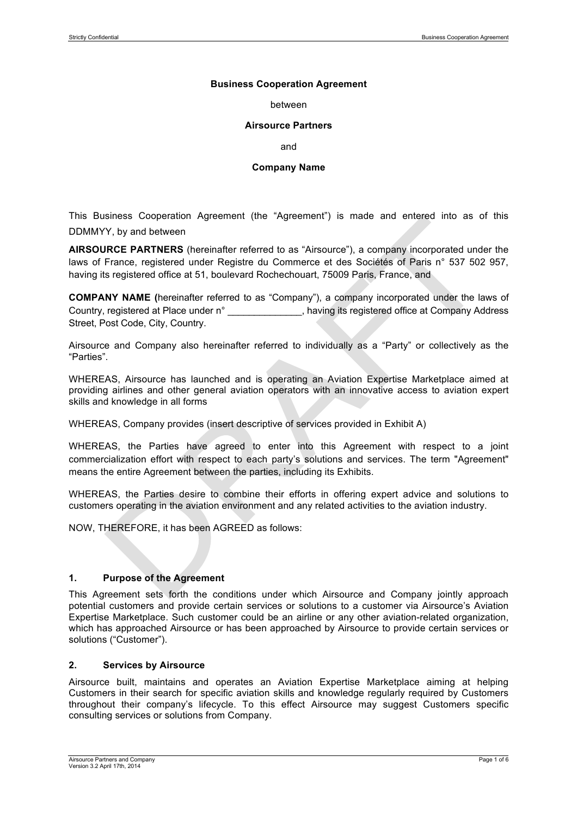### **Business Cooperation Agreement**

#### between

### **Airsource Partners**

and

#### **Company Name**

This Business Cooperation Agreement (the "Agreement") is made and entered into as of this DDMMYY, by and between

**AIRSOURCE PARTNERS** (hereinafter referred to as "Airsource"), a company incorporated under the laws of France, registered under Registre du Commerce et des Sociétés of Paris n° 537 502 957, having its registered office at 51, boulevard Rochechouart, 75009 Paris, France, and

**COMPANY NAME (**hereinafter referred to as "Company"), a company incorporated under the laws of Country, registered at Place under n° \_\_\_\_\_\_\_\_\_\_\_\_\_, having its registered office at Company Address Street, Post Code, City, Country.

Airsource and Company also hereinafter referred to individually as a "Party" or collectively as the "Parties".

WHEREAS, Airsource has launched and is operating an Aviation Expertise Marketplace aimed at providing airlines and other general aviation operators with an innovative access to aviation expert skills and knowledge in all forms

WHEREAS, Company provides (insert descriptive of services provided in Exhibit A)

WHEREAS, the Parties have agreed to enter into this Agreement with respect to a joint commercialization effort with respect to each party's solutions and services. The term "Agreement" means the entire Agreement between the parties, including its Exhibits.

WHEREAS, the Parties desire to combine their efforts in offering expert advice and solutions to customers operating in the aviation environment and any related activities to the aviation industry.

NOW, THEREFORE, it has been AGREED as follows:

# **1. Purpose of the Agreement**

This Agreement sets forth the conditions under which Airsource and Company jointly approach potential customers and provide certain services or solutions to a customer via Airsource's Aviation Expertise Marketplace. Such customer could be an airline or any other aviation-related organization, which has approached Airsource or has been approached by Airsource to provide certain services or solutions ("Customer").

# **2. Services by Airsource**

Airsource built, maintains and operates an Aviation Expertise Marketplace aiming at helping Customers in their search for specific aviation skills and knowledge regularly required by Customers throughout their company's lifecycle. To this effect Airsource may suggest Customers specific consulting services or solutions from Company.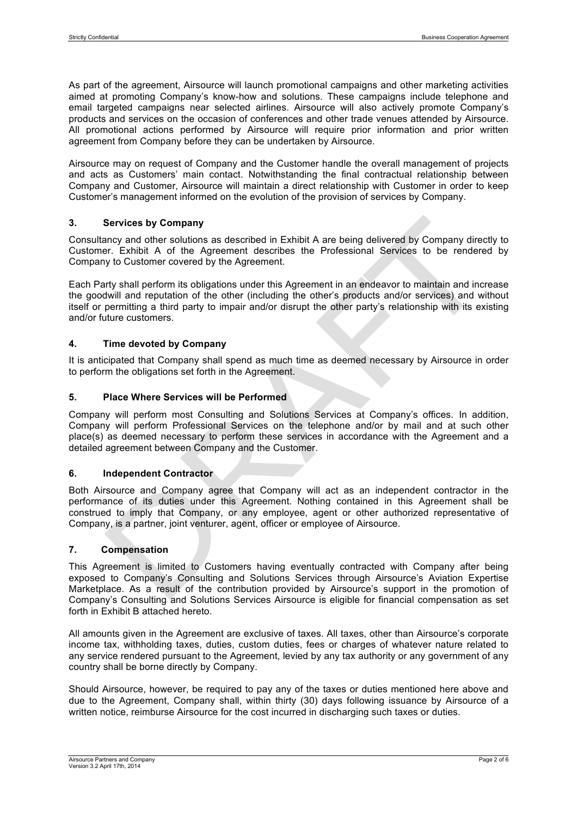As part of the agreement, Airsource will launch promotional campaigns and other marketing activities aimed at promoting Company's know-how and solutions. These campaigns include telephone and email targeted campaigns near selected airlines. Airsource will also actively promote Company's products and services on the occasion of conferences and other trade venues attended by Airsource. All promotional actions performed by Airsource will require prior information and prior written agreement from Company before they can be undertaken by Airsource.

Airsource may on request of Company and the Customer handle the overall management of projects and acts as Customers' main contact. Notwithstanding the final contractual relationship between Company and Customer, Airsource will maintain a direct relationship with Customer in order to keep Customer's management informed on the evolution of the provision of services by Company.

# **3. Services by Company**

Consultancy and other solutions as described in Exhibit A are being delivered by Company directly to Customer. Exhibit A of the Agreement describes the Professional Services to be rendered by Company to Customer covered by the Agreement.

Each Party shall perform its obligations under this Agreement in an endeavor to maintain and increase the goodwill and reputation of the other (including the other's products and/or services) and without itself or permitting a third party to impair and/or disrupt the other party's relationship with its existing and/or future customers.

# **4. Time devoted by Company**

It is anticipated that Company shall spend as much time as deemed necessary by Airsource in order to perform the obligations set forth in the Agreement.

# **5. Place Where Services will be Performed**

Company will perform most Consulting and Solutions Services at Company's offices. In addition, Company will perform Professional Services on the telephone and/or by mail and at such other place(s) as deemed necessary to perform these services in accordance with the Agreement and a detailed agreement between Company and the Customer.

#### **6. Independent Contractor**

Both Airsource and Company agree that Company will act as an independent contractor in the performance of its duties under this Agreement. Nothing contained in this Agreement shall be construed to imply that Company, or any employee, agent or other authorized representative of Company, is a partner, joint venturer, agent, officer or employee of Airsource.

## **7. Compensation**

This Agreement is limited to Customers having eventually contracted with Company after being exposed to Company's Consulting and Solutions Services through Airsource's Aviation Expertise Marketplace. As a result of the contribution provided by Airsource's support in the promotion of Company's Consulting and Solutions Services Airsource is eligible for financial compensation as set forth in Exhibit B attached hereto.

All amounts given in the Agreement are exclusive of taxes. All taxes, other than Airsource's corporate income tax, withholding taxes, duties, custom duties, fees or charges of whatever nature related to any service rendered pursuant to the Agreement, levied by any tax authority or any government of any country shall be borne directly by Company.

Should Airsource, however, be required to pay any of the taxes or duties mentioned here above and due to the Agreement, Company shall, within thirty (30) days following issuance by Airsource of a written notice, reimburse Airsource for the cost incurred in discharging such taxes or duties.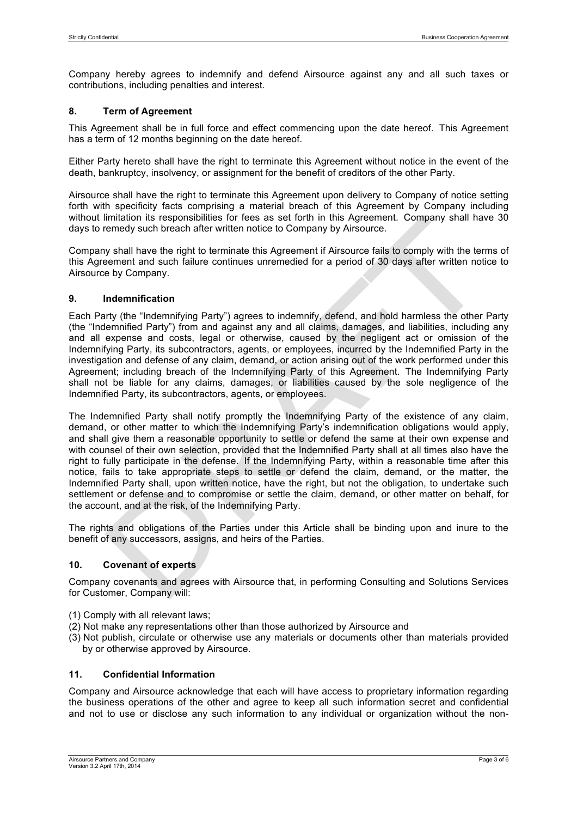Company hereby agrees to indemnify and defend Airsource against any and all such taxes or contributions, including penalties and interest.

# **8. Term of Agreement**

This Agreement shall be in full force and effect commencing upon the date hereof. This Agreement has a term of 12 months beginning on the date hereof.

Either Party hereto shall have the right to terminate this Agreement without notice in the event of the death, bankruptcy, insolvency, or assignment for the benefit of creditors of the other Party.

Airsource shall have the right to terminate this Agreement upon delivery to Company of notice setting forth with specificity facts comprising a material breach of this Agreement by Company including without limitation its responsibilities for fees as set forth in this Agreement. Company shall have 30 days to remedy such breach after written notice to Company by Airsource.

Company shall have the right to terminate this Agreement if Airsource fails to comply with the terms of this Agreement and such failure continues unremedied for a period of 30 days after written notice to Airsource by Company.

# **9. Indemnification**

Each Party (the "Indemnifying Party") agrees to indemnify, defend, and hold harmless the other Party (the "Indemnified Party") from and against any and all claims, damages, and liabilities, including any and all expense and costs, legal or otherwise, caused by the negligent act or omission of the Indemnifying Party, its subcontractors, agents, or employees, incurred by the Indemnified Party in the investigation and defense of any claim, demand, or action arising out of the work performed under this Agreement; including breach of the Indemnifying Party of this Agreement. The Indemnifying Party shall not be liable for any claims, damages, or liabilities caused by the sole negligence of the Indemnified Party, its subcontractors, agents, or employees.

The Indemnified Party shall notify promptly the Indemnifying Party of the existence of any claim, demand, or other matter to which the Indemnifying Party's indemnification obligations would apply, and shall give them a reasonable opportunity to settle or defend the same at their own expense and with counsel of their own selection, provided that the Indemnified Party shall at all times also have the right to fully participate in the defense. If the Indemnifying Party, within a reasonable time after this notice, fails to take appropriate steps to settle or defend the claim, demand, or the matter, the Indemnified Party shall, upon written notice, have the right, but not the obligation, to undertake such settlement or defense and to compromise or settle the claim, demand, or other matter on behalf, for the account, and at the risk, of the Indemnifying Party.

The rights and obligations of the Parties under this Article shall be binding upon and inure to the benefit of any successors, assigns, and heirs of the Parties.

# **10. Covenant of experts**

Company covenants and agrees with Airsource that, in performing Consulting and Solutions Services for Customer, Company will:

- (1) Comply with all relevant laws;
- (2) Not make any representations other than those authorized by Airsource and
- (3) Not publish, circulate or otherwise use any materials or documents other than materials provided by or otherwise approved by Airsource.

# **11. Confidential Information**

Company and Airsource acknowledge that each will have access to proprietary information regarding the business operations of the other and agree to keep all such information secret and confidential and not to use or disclose any such information to any individual or organization without the non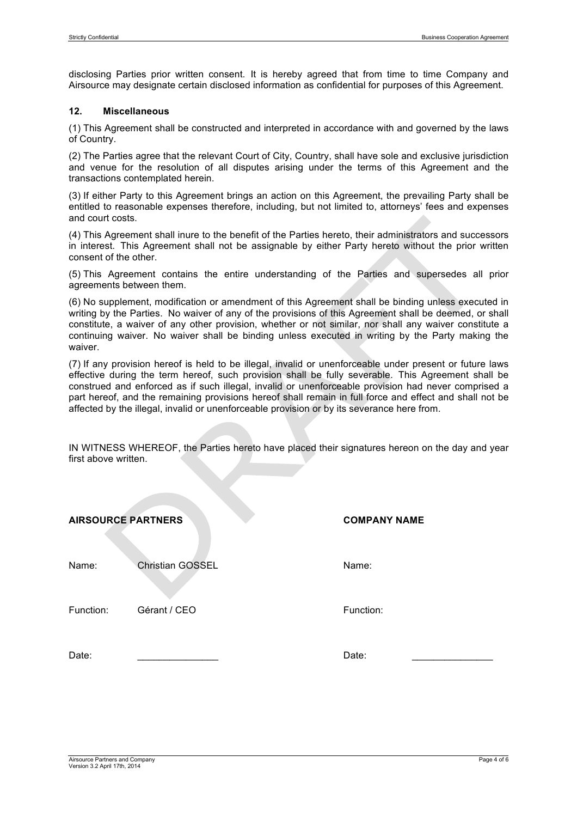disclosing Parties prior written consent. It is hereby agreed that from time to time Company and Airsource may designate certain disclosed information as confidential for purposes of this Agreement.

# **12. Miscellaneous**

(1) This Agreement shall be constructed and interpreted in accordance with and governed by the laws of Country.

(2) The Parties agree that the relevant Court of City, Country, shall have sole and exclusive jurisdiction and venue for the resolution of all disputes arising under the terms of this Agreement and the transactions contemplated herein.

(3) If either Party to this Agreement brings an action on this Agreement, the prevailing Party shall be entitled to reasonable expenses therefore, including, but not limited to, attorneys' fees and expenses and court costs.

(4) This Agreement shall inure to the benefit of the Parties hereto, their administrators and successors in interest. This Agreement shall not be assignable by either Party hereto without the prior written consent of the other.

(5) This Agreement contains the entire understanding of the Parties and supersedes all prior agreements between them.

(6) No supplement, modification or amendment of this Agreement shall be binding unless executed in writing by the Parties. No waiver of any of the provisions of this Agreement shall be deemed, or shall constitute, a waiver of any other provision, whether or not similar, nor shall any waiver constitute a continuing waiver. No waiver shall be binding unless executed in writing by the Party making the waiver.

(7) If any provision hereof is held to be illegal, invalid or unenforceable under present or future laws effective during the term hereof, such provision shall be fully severable. This Agreement shall be construed and enforced as if such illegal, invalid or unenforceable provision had never comprised a part hereof, and the remaining provisions hereof shall remain in full force and effect and shall not be affected by the illegal, invalid or unenforceable provision or by its severance here from.

IN WITNESS WHEREOF, the Parties hereto have placed their signatures hereon on the day and year first above written.

| <b>AIRSOURCE PARTNERS</b> |                         | <b>COMPANY NAME</b> |
|---------------------------|-------------------------|---------------------|
| Name:                     | <b>Christian GOSSEL</b> | Name:               |
| Function:                 | Gérant / CEO            | Function:           |
| Date:                     |                         | Date:               |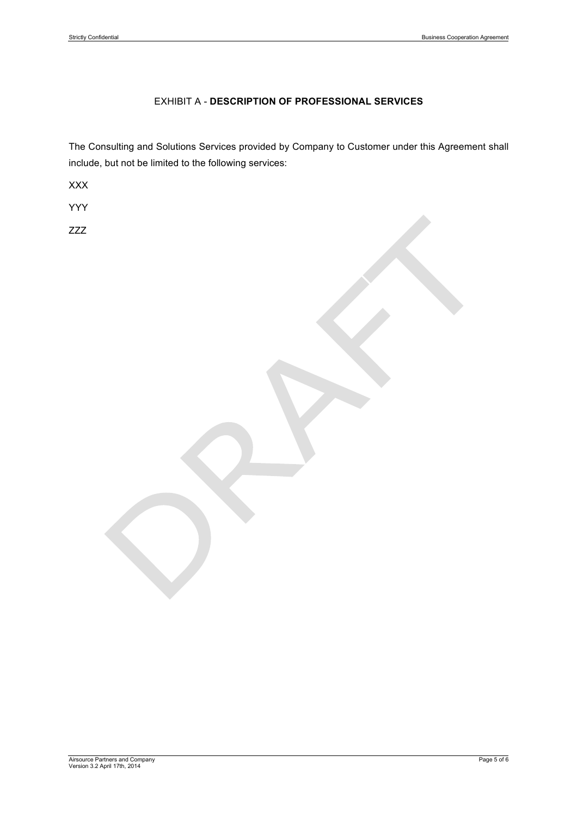# EXHIBIT A - **DESCRIPTION OF PROFESSIONAL SERVICES**

The Consulting and Solutions Services provided by Company to Customer under this Agreement shall include, but not be limited to the following services:

XXX

YYY

ZZZ